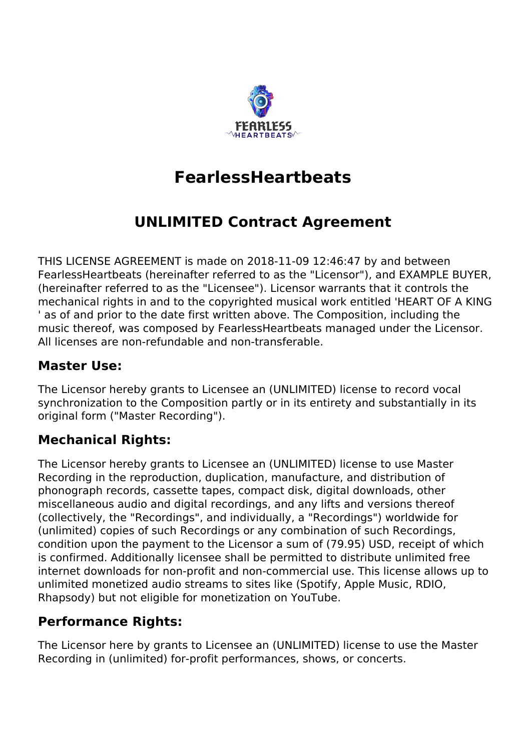

# **FearlessHeartbeats**

# **UNLIMITED Contract Agreement**

THIS LICENSE AGREEMENT is made on 2018-11-09 12:46:47 by and between FearlessHeartbeats (hereinafter referred to as the "Licensor"), and EXAMPLE BUYER, (hereinafter referred to as the "Licensee"). Licensor warrants that it controls the mechanical rights in and to the copyrighted musical work entitled 'HEART OF A KING ' as of and prior to the date first written above. The Composition, including the music thereof, was composed by FearlessHeartbeats managed under the Licensor. All licenses are non-refundable and non-transferable.

## **Master Use:**

The Licensor hereby grants to Licensee an (UNLIMITED) license to record vocal synchronization to the Composition partly or in its entirety and substantially in its original form ("Master Recording").

# **Mechanical Rights:**

The Licensor hereby grants to Licensee an (UNLIMITED) license to use Master Recording in the reproduction, duplication, manufacture, and distribution of phonograph records, cassette tapes, compact disk, digital downloads, other miscellaneous audio and digital recordings, and any lifts and versions thereof (collectively, the "Recordings", and individually, a "Recordings") worldwide for (unlimited) copies of such Recordings or any combination of such Recordings, condition upon the payment to the Licensor a sum of (79.95) USD, receipt of which is confirmed. Additionally licensee shall be permitted to distribute unlimited free internet downloads for non-profit and non-commercial use. This license allows up to unlimited monetized audio streams to sites like (Spotify, Apple Music, RDIO, Rhapsody) but not eligible for monetization on YouTube.

# **Performance Rights:**

The Licensor here by grants to Licensee an (UNLIMITED) license to use the Master Recording in (unlimited) for-profit performances, shows, or concerts.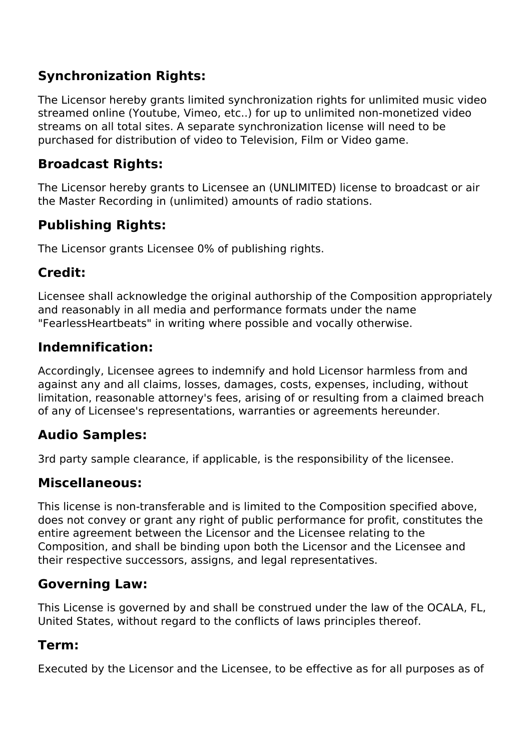# **Synchronization Rights:**

The Licensor hereby grants limited synchronization rights for unlimited music video streamed online (Youtube, Vimeo, etc..) for up to unlimited non-monetized video streams on all total sites. A separate synchronization license will need to be purchased for distribution of video to Television, Film or Video game.

#### **Broadcast Rights:**

The Licensor hereby grants to Licensee an (UNLIMITED) license to broadcast or air the Master Recording in (unlimited) amounts of radio stations.

# **Publishing Rights:**

The Licensor grants Licensee 0% of publishing rights.

## **Credit:**

Licensee shall acknowledge the original authorship of the Composition appropriately and reasonably in all media and performance formats under the name "FearlessHeartbeats" in writing where possible and vocally otherwise.

## **Indemnification:**

Accordingly, Licensee agrees to indemnify and hold Licensor harmless from and against any and all claims, losses, damages, costs, expenses, including, without limitation, reasonable attorney's fees, arising of or resulting from a claimed breach of any of Licensee's representations, warranties or agreements hereunder.

# **Audio Samples:**

3rd party sample clearance, if applicable, is the responsibility of the licensee.

# **Miscellaneous:**

This license is non-transferable and is limited to the Composition specified above, does not convey or grant any right of public performance for profit, constitutes the entire agreement between the Licensor and the Licensee relating to the Composition, and shall be binding upon both the Licensor and the Licensee and their respective successors, assigns, and legal representatives.

### **Governing Law:**

This License is governed by and shall be construed under the law of the OCALA, FL, United States, without regard to the conflicts of laws principles thereof.

### **Term:**

Executed by the Licensor and the Licensee, to be effective as for all purposes as of